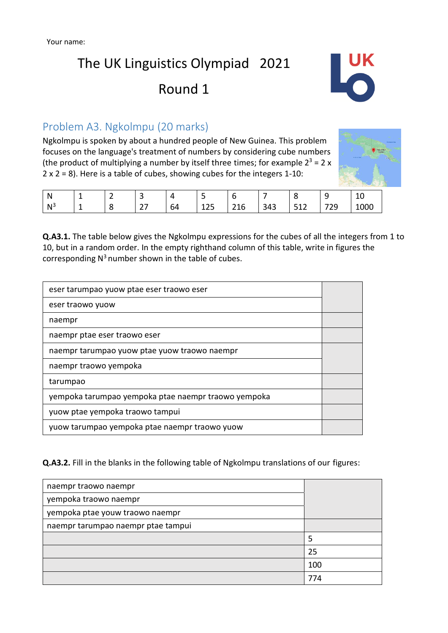# The UK Linguistics Olympiad 2021

Round 1



## Problem A3. Ngkolmpu (20 marks)

Ngkolmpu is spoken by about a hundred people of New Guinea. This problem focuses on the language's treatment of numbers by considering cube numbers (the product of multiplying a number by itself three times; for example  $2^3 = 2 \times$ 2 x 2 = 8). Here is a table of cubes, showing cubes for the integers 1-10:



| N              | - | -<br>— | -<br>ٮ                   | 4  |                      | r          |     | O                   | —         | ᅩ |
|----------------|---|--------|--------------------------|----|----------------------|------------|-----|---------------------|-----------|---|
| N <sup>3</sup> |   |        | $\sim$ $-$<br><u>_ 1</u> | 64 | n <sub>F</sub><br>ᆂᄼ | 210<br>21b | 343 | $E1^{\circ}$<br>--- | 72G<br>تے |   |

**Q.A3.1.** The table below gives the Ngkolmpu expressions for the cubes of all the integers from 1 to 10, but in a random order. In the empty righthand column of this table, write in figures the corresponding  $N^3$  number shown in the table of cubes.

| eser tarumpao yuow ptae eser traowo eser            |  |
|-----------------------------------------------------|--|
| eser traowo yuow                                    |  |
| naempr                                              |  |
| naempr ptae eser traowo eser                        |  |
| naempr tarumpao yuow ptae yuow traowo naempr        |  |
| naempr traowo yempoka                               |  |
| tarumpao                                            |  |
| yempoka tarumpao yempoka ptae naempr traowo yempoka |  |
| yuow ptae yempoka traowo tampui                     |  |
| yuow tarumpao yempoka ptae naempr traowo yuow       |  |

**Q.A3.2.** Fill in the blanks in the following table of Ngkolmpu translations of our figures:

| naempr traowo naempr               |     |
|------------------------------------|-----|
| yempoka traowo naempr              |     |
| yempoka ptae youw traowo naempr    |     |
| naempr tarumpao naempr ptae tampui |     |
|                                    | 5   |
|                                    | 25  |
|                                    | 100 |
|                                    | 774 |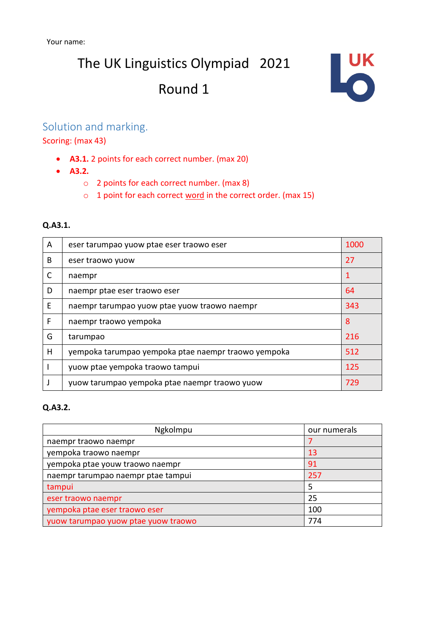The UK Linguistics Olympiad 2021

# Round 1



### Solution and marking.

Scoring: (max 43)

- **A3.1.** 2 points for each correct number. (max 20)
- **A3.2.** 
	- o 2 points for each correct number. (max 8)
	- $\circ$  1 point for each correct word in the correct order. (max 15)

#### **Q.A3.1.**

| A            | eser tarumpao yuow ptae eser traowo eser            | 1000 |
|--------------|-----------------------------------------------------|------|
| B            | eser traowo yuow                                    | 27   |
| $\mathsf{C}$ | naempr                                              | 1    |
| D            | naempr ptae eser traowo eser                        | 64   |
| E            | naempr tarumpao yuow ptae yuow traowo naempr        | 343  |
| F            | naempr traowo yempoka                               | 8    |
| G            | tarumpao                                            | 216  |
| Η            | yempoka tarumpao yempoka ptae naempr traowo yempoka | 512  |
|              | yuow ptae yempoka traowo tampui                     | 125  |
|              | yuow tarumpao yempoka ptae naempr traowo yuow       | 729  |

#### **Q.A3.2.**

| Ngkolmpu                            | our numerals |
|-------------------------------------|--------------|
| naempr traowo naempr                |              |
| yempoka traowo naempr               | 13           |
| yempoka ptae youw traowo naempr     | 91           |
| naempr tarumpao naempr ptae tampui  | 257          |
| tampui                              |              |
| eser traowo naempr                  | 25           |
| yempoka ptae eser traowo eser       | 100          |
| yuow tarumpao yuow ptae yuow traowo | 774          |